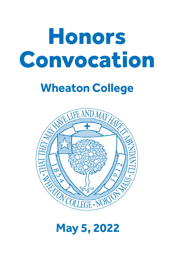# Honors Convocation

# **Wheaton College**



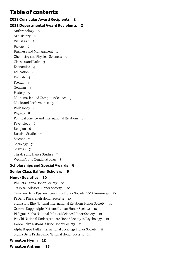# Table of contents

#### **[2022 Curricular Award Recipients 2](#page-3-0) [2022 Departmental Award Recipients 2](#page-3-0)** [Anthropology 2](#page-3-0) [Art History](#page-3-0) 2 [Visual Art 2](#page-3-0) [Biology](#page-3-0) 2 [Business and Management](#page-4-0) 3 [Chemistry and Physical Sciences](#page-4-0) 3 [Classics and Latin](#page-4-0) 3 [Economics](#page-5-0) 4 [Education](#page-5-0) 4 [English](#page-5-0) 4 [French](#page-5-0) 4 [German](#page-5-0) 4 [History](#page-6-0) 5 [Mathematics and Computer Science](#page-6-0) 5 [Music and Performance](#page-6-0) 5 [Philosophy](#page-7-0) 6 [Physics](#page-7-0) 6 [Political Science and International Relations](#page-7-0) 6 [Psychology](#page-7-0) 6 [Religion](#page-7-0) 6 [Russian Studies](#page-8-0) 7 [Science](#page-8-0) 7 [Sociology](#page-8-0) 7 [Spanish](#page-8-0) 7 [Theatre and Dance Studies](#page-8-0) 7 [Women's and Gender Studies](#page-9-0) 8

#### **[Scholarships and Special Awards 8](#page-9-0)**

#### **[Senior Class Balfour Scholars 9](#page-10-0)**

#### **[Honor Societies 10](#page-11-0)**

[Phi Beta Kappa Honor Society:](#page-11-0) 10 [Tri-Beta Biological Honor Society: 10](#page-11-0) [Omicron Delta Epsilon Economics Honor Society, 2022 Nominees:](#page-11-0) 10 [Pi Delta Phi French Honor Society: 10](#page-11-0) [Sigma Iota Rho National International Relations Honor Society: 10](#page-11-0) [Gamma Kappa Alpha National Italian Honor Society: 10](#page-11-0) [Pi Sigma Alpha National Political Science Honor Society:](#page-11-0) 10 [Psi Chi National Undergraduate Honor Society in Psychology:](#page-11-0) 10 [Dobro Solvo National Slavic Honor Society:](#page-12-0) 11 [Alpha Kappa Delta International Sociology Honor Society:](#page-12-0) 11 [Sigma Delta Pi Hispanic National Honor Society:](#page-12-0) 11

#### **[Wheaton Hymn 12](#page-13-0) [Wheaton Anthem 13](#page-14-0)**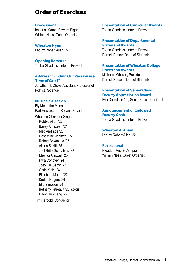# Order of Exercises

#### **Processional**

Imperial March, Edward Elgar William Ness, Guest Organist

**Wheaton Hymn** Led by Robert Allen '22

**Opening Remarks** Touba Ghadessi, Interim Provost

#### **Address: "Finding Our Passion in a Time of Grief"**

Jonathan T. Chow, Assistant Professor of Political Science

#### **Musical Selection**

Fly Me to the Moon Bart Howard, arr. Rosana Eckert Wheaton Chamber Singers Robbie Allen '22 Bailey Amazeen '24 Meg Andrade '25 Dessie Bell-Kamen '25 Robert Bevacqua '25 Alison Birkitt '25 Joel Brito-Goncalves '22 Eleanor Caswell '25 Kyra Conover '24 Joey Del Santo '25 Chris Klein '24 Elizabeth Moore '22 Kaden Rogers '24 Elio Simpson '24 Bethany Tetreault '23, soloist Haoyuan Zheng '22 Tim Harbold, Conductor

**Presentation of Curricular Awards** Touba Ghadessi, Interim Provost

**Presentation of Departmental Prizes and Awards**

Touba Ghadessi, Interim Provost Darnell Parker, Dean of Students

#### **Presentation of Wheaton College Prizes and Awards**

Michaele Whelan, President Darnell Parker, Dean of Students

**Presentation of Senior Class Faculty Appreciation Award** Eva Danielson '22, Senior Class President

**Announcement of Endowed Faculty Chair**  Touba Ghadessi, Interim Provost

**Wheaton Anthem** Led by Robert Allen '22

#### **Recessional**

Rigadon, André Campra William Ness, Guest Organist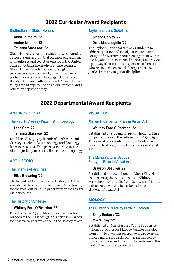# **2022 Curricular Award Recipients**

#### <span id="page-3-0"></span>**Distinction of Global Honors**

#### **Anna Fairbairn '22 Amber Medero '22 Tatianna Staszkow '22**

Global Honors recognizes students who complete a rigorous curriculum that requires engagement with cultures and societies outside of the United States or outside the student's home country. Global Honors' students integrate a global perspective into their work, through advanced proficiency in a second language, deep study of the structure and culture of non-U.S. societies, a study abroad experience or a global project, and a reflection capstone essay.

#### **Taylor and Lane Scholars**

#### **Sinéad Garvey '22 Delia MacLaughlin '22**

The Taylor & Lane program asks students to address questions of social justice, inclusion, equity and diversity through engagement within and beyond the classroom. The program provides a pathway of courses and experiences for students who are focused on social change and social justice from any major or discipline.

# **2022 Departmental Award Recipients**

#### **ANTHROPOLOGY**

#### **The Paul F. Cressey Prize in Anthropology**

#### **Lena Carr '22**

#### **Tatianna Staszkow '22**

Established in 1965 by friends of Professor Paul F. Cressey, teacher of Anthropology and Sociology from 1932 to 1964. This prize is awarded to a senior major for general excellence in Anthropology.

#### **ART HISTORY**

#### **The Friends of Art Prize**

#### **Eliza Browning '22**

The Friends of Art Prize in the History of Art, is awarded at the discretion of the Art Department, for the most outstanding paper written for any art history course.

#### **The History of Art Prize**

#### **Whitney Ford O'Reardon '22**

Established in 1934 by Mrs. Genevieve Teachout Madden of the Class of 1935, this prize is awarded for best overall performance in the History of Art.

#### **VISUAL ART**

#### **Miriam F. Carpenter Prize in Visual Art**

#### **Whitney Ford O'Reardon '22**

Established by students in 1944 in honor of Miss Carpenter, Dean of the college from 1929 to 1944. This award is presented to students who have done the best body of work in one area of Visual Art.

#### **The Maria Victoria DeLuca Forsythe Prize in Visual Art**

#### **Grayson Beaulieu '22**

Established in 1984 in honor of Maria Victoria DeLuca Forsythe, wife of Professor Sidney Forsythe, through gifts from faculty and friends, this prize is awarded to the best all-around student in Visual Art.

#### **BIOLOGY**

#### **The Clinton V. MacCoy Prize in Ecology**

#### **Emily Embury '22 Mia Murray '22**

Established by Mrs. Barbara Young Bodden '56 in honor of Professor MacCoy, teacher of Biology from 1944 to 1970, this prize is awarded to senior Biology majors for depth of interest in Ecology, range of courses and intention to continue in the field of Biology after graduation.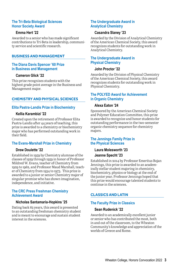#### <span id="page-4-0"></span>**The Tri-Beta Biological Sciences Honor Society Award**

#### **Emma Hert '22**

Awarded to a senior who has made significant contributions to Tri-Beta in leadership, community service and scientific research.

#### **BUSINESS AND MANAGEMENT**

#### **The Diana Davis Spencer '60 Prize in Business and Management**

#### **Cameron Glick '22**

This prize recognizes students with the highest grade point average in the Business and Management major.

#### **CHEMISTRY AND PHYSICAL SCIENCES**

#### **Elita Pastra-Landis Prize in Biochemistry**

#### **Kellia Karambizi '22**

Created upon the retirement of Professor Elita Pastra-Landis after 44 years of teaching, this prize is awarded to a chemistry or biochemistry major who has performed outstanding work in their field.

#### **The Evans-Marshall Prize in Chemistry**

#### **Drew Doulette '22**

Established in 1959 by Chemistry alumnae of the classes of 1929 through 1959 in honor of Professor Mildred W. Evans, teacher of Chemistry from 1929 to 1962, and Professor Maud Marshall, teacher of Chemistry from 1934 to 1973. This prize is awarded to a junior or senior Chemistry major of singular promise who has shown imagination, independence, and initiative.

#### **The CRC Press Freshman Chemistry Achievement Award**

#### **Nicholas Santamaria-Hopkins '25**

Dating back 62 years, this award is presented to an outstanding freshman chemistry student and is meant to encourage and sustain student interest in the sciences.

#### **The Undergraduate Award in Analytical Chemistry**

#### **Casandra Slaney '23**

Awarded by the Division of Analytical Chemistry of the American Chemical Society, this award recognizes students for outstanding work in Analytical Chemistry.

#### **The Undergraduate Award in Physical Chemistry**

#### **John Proctor '22**

Awarded by the Division of Physical Chemistry of the American Chemical Society, this award recognizes students for outstanding work in Physical Chemistry.

#### **The POLYED Award for Achievement in Organic Chemistry**

#### **Alexa Eaton '24**

Sponsored by the American Chemical Society and Polymer Education Committee, this prize is awarded to recognize and honor students for outstanding performance in the two-semester organic chemistry sequence for chemistry majors.

#### **The Jennings Family Prize in the Physical Sciences**

**Laura Molesworth '23 Jeanne Specht '23**

Established in 2014 by Professor Emeritus Bojan Jennings, this prize is awarded to an academically stellar student majoring in chemistry, biochemistry, physics or biology at the end of the junior year. Professor Jennings hoped that this prize would encourage talented students to continue in the sciences.

#### **CLASSICS AND LATIN**

#### **The Faculty Prize in Classics**

#### **Sean Rudenick '22**

Awarded to an academically excellent junior or senior who has contributed the most, both in and out of the classroom, to the Wheaton Community's knowledge and appreciation of the worlds of Greece and Rome.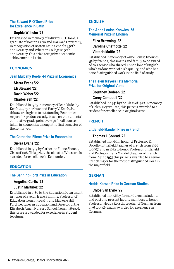#### <span id="page-5-0"></span>**The Edward F. O'Dowd Prize for Excellence in Latin**

#### **Sophie Wilhelm '23**

Established in memory of Edward F. O'Dowd, a graduate of Boston Latin and Harvard University, in recognition of Boston Latin School's 350th anniversary and Wheaton College's 150th anniversary, this prize recognizes academic achievement in Latin.

#### **ECONOMICS**

#### **Jean Mulcahy Keefe '44 Prize in Economics**

**Sierra Evans '22 Eli Steward '22 David Weber '22 Charles Yeh '22**

Established in 1985 in memory of Jean Mulcahy Keefe '44, by her husband Harry V. Keefe, Jr., this award is given to outstanding Economics majors for graduate study, based on the students' cumulative grade point average for all courses taken in Economics through the first semester of the senior year.

#### **The Catherine Filene Prize in Economics**

#### **Sierra Evans '22**

Established in 1919 by Catherine Filene Shouse, Class of 1918. This prize, the oldest at Wheaton, is awarded for excellence in Economics.

#### **EDUCATION**

#### **The Banning-Ford Prize in Education**

#### **Angelina Curtis '22**

#### **Justin Martinez '22**

Established in 1980 by the Education Department in honor of Evelyn Irene Banning, Professor of Education from 1953-1969, and Marjorie Hill Ford, Lecturer in Education and Director of the Elisabeth Amen Nursery School from 1956-1976, this prize is awarded for excellence in student teaching.

#### **ENGLISH**

#### **The Anne Louise Knowles '55 Memorial Prize in English**

#### **Eliza Browning '22 Caroline Chaffiotte '22 Victoria Mattie '22**

Established in memory of Anne Louise Knowles '55 by friends, classmates and family to be awarded to a senior who shared Anne's love of English, who has done work of high quality, and who has done distinguished work in the field of study.

#### **The Helen Meyers Tate Memorial Prize for Original Verse**

#### **Courtney Bodeen '22 Corey Campbell '22**

Established in 1941 by the Class of 1922 in memory of Helen Meyers Tate, this prize is awarded to a student for excellence in original verse.

#### **FRENCH**

#### **Littlefield-Mandell Prize in French**

#### **Thomas I. Conrad '22**

Established in 1965 in honor of Professor E. Dorothy Littlefield, teacher of French from 1926 to 1967, and in 1972 to honor Professor Littlefield and Professor Lena Mandell, teacher of French from 1941 to 1973 this prize is awarded to a senior French major for the most distinguished work in the major field.

#### **GERMAN**

#### **Hedda Korsch Prize in German Studies**

#### **Chloe Van Dyne '22**

Established in 1956 by former German students and past and present faculty members to honor Professor Hedda Korsch, teacher of German from 1936 to 1956, and is awarded for excellence in German.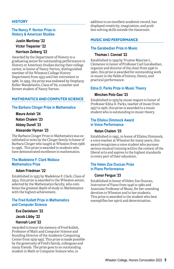#### <span id="page-6-0"></span>**HISTORY**

#### **The Nancy P. Norton Prize in History & American Studies**

#### **Justin Martinez '22 Victor Trepanier '22 Harrison Zeiberg '22**

Awarded by the Department of History to a graduating senior for outstanding performance in History or American Studies during their college career, in honor of Nancy Norton, distinguished member of the Wheaton College History Department from 1953 until her retirement in 1986. In 1993, the prize was endowed by Stephany Roller Mandelsohn, Class of '62, a teacher and former student of Nancy Norton.

#### **MATHEMATICS AND COMPUTER SCIENCE**

#### **The Barbara Clinger Prize in Mathematics**

**Maura Anish '24 Natan Chalem '23 Abbey Durell '23 Alexander Hyman '23**

The Barbara Clinger Prize in Mathematics was established in 2022 by the Clinger family in honor of Barbara Clinger who taught at Wheaton from 1968 to 1996. This prize is awarded to students who have demonstrated excellence in mathematics.

#### **The Madeleine F. Clark Wallace Mathematics Prize**

#### **Adam Friedman '22**

Established in 1935 by Madeleine F. Clark, Class of 1934, this prize is awarded to the Wheaton senior, selected by the Mathematics faculty, who combines the greatest depth of study in Mathematics with the highest achievement.

#### **The Fred Kollett Prize in Mathematics and Computer Science**

**Eva Danielson '22 Jacob Libby '22 Hannah Lord '22**

Awarded to honor the memory of Fred Kollett, Professor of Math and Computer Science and founding Director of the Academic Computing Center from 1979-1997. This prize is made possible by the generosity of Fred's family, colleagues and many friends. The prize goes to an outstanding student in Math or Computer Science who, in

addition to an excellent academic record, has displayed creativity, imagination, and problem-solving skills outside the classroom.

#### **MUSIC AND PERFORMANCE**

#### **The Garabedian Prize in Music**

#### **Thomas I. Conrad '22**

Established in 1959 by Trustee Maurice L. Clemence in honor of Professor Carl Garabedian, organist and director of the choir from 1936 to 1960, this prize is awarded for outstanding work in music in the fields of history, theory, and practical performance.

#### **Edna D. Parks Prize in Music Theory**

#### **Minchen Polo Gao '23**

Established in 1979 by music majors in honor of Professor Edna D. Parks, teacher of music from 1957 to 1976, this prize is awarded to a music student who is outstanding in music theory.

#### **The Ellalou Dimmock Award in Voice Performance**

#### **Natan Chalem '23**

Established in 1995, in honor of Ellalou Dimmock, a voice teacher at Wheaton for many years, this award recognizes a voice student who pursues serious musical training within the context of the liberal arts and aspires to the highest standards in every part of their education.

#### **The Helen Zoe Duncan Prize in Piano Performance**

#### **Conor Fergus '23**

Established in honor of Helen Zoe Duncan, Instructor of Piano from 1946 to 1980 and Associate Professor of Music, for her unending devotion to Wheaton and to her students. This prize is awarded to the student who best exemplifies her spirit and determination.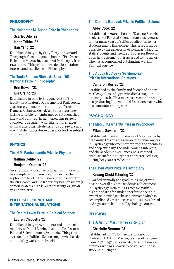#### <span id="page-7-0"></span>**PHILOSOPHY**

#### **The Holcombe M. Austin Prize in Philosophy**

**Scarlet Difo '22 Ishita Trikha '22**

#### **Han Yang '22**

Established in 1960 by Sally Terry and Amanda Tevepaugh, Class of 1960, in honor of Professor Holcombe M. Austin, teacher of Philosophy from 1941 to 1972. This prize is awarded for sustained interest and excellence in Philosophy.

#### **The Tania Frances Richards Sicard '05 Memorial Prize in Philosophy**

#### **Erin Bowes '23**

#### **Gia Orsino '23**

Established in 2010 by the generosity of the faculty in Wheaton's Department of Philosophy, classmates, friends and the family of Tania Frances Richards Sicard, '05, to assure a longlasting tangible remembrance of a student they knew and admired. In her honor, this prize is awarded to a student who, like Tania, engages with faculty, other students, and coursework in a way that demonstrates exuberance for the subject of Philosophy.

#### **PHYSICS**

#### **The H.M. Pastra-Landis Prize in Physics**

#### **Nathan Oehler '22**

#### **Benjamin Osborn '22**

Given annually to a physics major or minor who has completed coursework at or beyond the sophomore level in the major and whose work in the classroom and the laboratory has consistently demonstrated a high level of creativity, originality, and initiative.

#### **POLITICAL SCIENCE AND INTERNATIONAL RELATIONS**

#### **The Daniel Lewin Prize in Political Science**

#### **Lauren Chiovetta '22**

Established in 1969 by students and alumnae in memory of Daniel Lewin, Assistant Professor of Political Science from 1963 to 1966. This prize is awarded to a Political Science major who has done outstanding work in their field.

#### **The Darlene Boroviak Prize in Political Science**

#### **Abby Cook '22**

Established in 2013 in honor of Darlene Boroviak, Professor of Political Science from 1970 to 2013, for her many years of selfless dedication to her students and to this college. This prize is made possible by the generosity of alumnae/i, faculty, staff, students and friends of Professor Boroviak upon her retirement. It is awarded to the major who has accomplished outstanding work in Political Science.

#### **The Abbey McClosky '92 Memorial Prize in International Relations**

#### **Cameron Murray '22**

Established by the family and friends of Abbey McClosky, Class of 1992, who died a tragic and untimely death. This award is presented annually to a graduating International Relations major who has done outstanding work.

#### **PSYCHOLOGY**

#### **The Meg L. Kearns '99 Prize in Psychology**

#### **Mikaela Savarese '22**

Established in 2000 in memory of Meg Kearns by her family, this prize is awarded to senior majors in Psychology who most exemplifies the openness and deep curiosity, the wide-ranging interests, and the academic excellence and sustained enthusiasm for inquiry that characterized Meg during her years at Wheaton.

#### **The David Wulff Prize in Psychology**

#### **Kezang Choki Tshering '22**

Awarded annually to a graduating major who has the overall highest academic achievement in Psychology. Reflecting Professor Wulff's high standards for student performance, this award acknowledges the senior major who has accomplished great success while taking a broad and rigorous selection of Psychology courses.

#### **RELIGION**

#### **The J. Arthur Martin Prize in Religion**

#### **Charlotte Berman '23**

Established in 1978 by friends in honor of Professor J. Arthur Martin, teacher of Religion from 1947 to 1978; it is awarded to a sophomore or junior who has proven to be an exceptional student in Religion.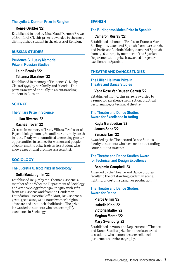#### <span id="page-8-0"></span>**The Lydia J. Dorman Prize in Religion**

#### **Renee Grubler '22**

Established in 1926 by Mrs. Maud Dorman Brewer of Branford, CT, this prize is awarded to the most distinguished student in the classes of Religion.

#### **RUSSIAN STUDIES**

#### **Prudence G. Lusky Memorial Prize in Russian Studies**

#### **Leigh Brooks '22 Tatianna Staszkow '22**

Established in memory of Prudence G. Lusky, Class of 1976, by her family and friends. This prize is awarded annually to an outstanding student in Russian.

#### **SCIENCE**

#### **The Villars Prize in Science**

#### **Jillian Riveros '22 Rachael Tovar '22**

Created in memory of Trudy Villars, Professor of Psychobiology from 1980 until her untimely death in 1990. Trudy was committed to creating greater opportunities in science for women and people of color, and the prize is given to a student who shows exceptional promise as a scientist.

#### **SOCIOLOGY**

#### **The Lucretia C. Mott Prize in Sociology**

#### **Delia MacLaughlin '22**

Established in 1987 by Mr. Thomas Osborne, a member of the Wheaton Department of Sociology and Anthropology from 1964 to 1986, with gifts from Dr. Osborne and from the Henderson Foundation. Lucretia Coffin Mott, Dr. Osborne's great, great aunt, was a noted women's rights advocate and a staunch abolitionist. The prize is awarded to students who best exemplify excellence in Sociology

#### **SPANISH**

#### **The Burlingame-Moles Prize in Spanish**

#### **Cameron Murray '22**

Established in honor of Professor Frances Marie Burlingame, teacher of Spanish from 1943 to 1961, and Professor Lucinda Moles, teacher of Spanish from 1956 to 1973, by members of the Spanish Department, this prize is awarded for general excellence in Spanish.

#### **THEATRE AND DANCE STUDIES**

#### **The Lillian Hellman Prize in Theatre and Dance Studies**

#### **Veda Rose VanDeusen Garrett '22**

Established in 1977, this prize is awarded to a senior for excellence in direction, practical performance, or technical theatre.

#### **The Theatre and Dance Studies Award for Excellence in Acting**

**Kayla Garabedian '22 James Sena '22 Yanasia Tarr '22**

Awarded by the Theatre and Dance Studies faculty to students who have made outstanding contributions as actors.

#### **The Theatre and Dance Studies Award for Technical and Design Excellence**

#### **Benjamin Campbell '23**

Awarded by the Theatre and Dance Studies faculty to the outstanding student in scene, lighting, or costume design or production.

#### **The Theatre and Dance Studies Award for Dance**

**Pierce Gillim '22 Isabelle King '22 Victoria Mattie '22 Meghan Moran '22 Mary Swanburg '22**

Established in 2008, the Department of Theatre and Dance Studies prize for dance is awarded to students who demonstrate excellence in performance or choreography.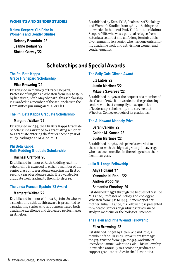#### <span id="page-9-0"></span>**WOMEN'S AND GENDER STUDIES**

**Maimu Seepere Yllö Prize in Women's and Gender Studies**

**Delaney Beaudoin '22 Jeanne Bedard '22 Sinéad Garvey '22**

Established by Kersti Yllö, Professor of Sociology and Women's Studies from 1981-2016, this prize is awarded in honor of Prof. Yllö 's mother Maimu Seepere Yllö, who was a political refugee from Estonia, a scientist and a life-long feminist. It is given annually to a senior who has done outstanding academic work and activism on women and gender equality.

# **Scholarships and Special Awards**

#### **The Phi Beta Kappa Grace F. Shepard Scholarship**

#### **Eliza Browning '22**

Established in memory of Grace Shepard, Professor of English at Wheaton from 1913 to 1940 by her sister, Edith May Shepard, this scholarship is awarded to a member of the senior class in the Humanities pursuing an M.A. or Ph.D.

#### **The Phi Beta Kappa Graduate Scholarship**

#### **Margaret Walker '22**

Established in 1934, the Phi Beta Kappa Graduate Scholarship is awarded to a graduating senior or to a graduate entering the first or second year of study leading to an M.A. or Ph.D.

#### **Phi Beta Kappa Ruth Redding Graduate Scholarship**

#### **Rachael Crafford '20**

Established in honor of Ruth Redding '34, this scholarship is awarded to either a member of the senior class or to a graduate entering the first or second year of graduate study. It is awarded for graduate work leading to the Ph.D. degree.

#### **The Linda Frances Epstein '82 Award**

#### **Margaret Walker '22**

Established in honor of Linda Epstein '82 who was a scholar and athlete, this award is presented to a graduating senior who has demonstrated both academic excellence and dedicated performance in athletics.

#### **The Sally Gale Gilman Award**

**Liz Eaton '22 Justin Martinez '22 Mikaela Savarese '22**

Established in 1986 at the bequest of a member of the Class of 1962; it is awarded to the graduating seniors who best exemplify those qualities of leadership, scholarship, and service that Wheaton College expects of its graduates.

#### **The A. Howard Meneely Prize**

**Sarah Calkins '22 Caiden M. Kumar '22 Justin Martinez '22**

Established in 1964, this prize is awarded to the senior with the highest grade point average who has been enrolled in the college since their freshman year.

#### **Julia R. Lange Fellowship**

**Aliya Holland '17 Yassmine N. Raoui '22 Andrea Wood '19 Samantha Worobey '20**

Established in 1972 through the bequest of Matilde M. Lange, Professor of Biology and Zoology at Wheaton from 1921 to 1949, in memory of her mother, Julia R. Lange, his Fellowship is presented to Wheaton seniors or graduates for advanced study in medicine or the biological sciences.

#### **The Helen and Irma Wieand Fellowship**

#### **Eliza Browning '22**

Established in 1961 by Helen Wieand Cole, a member of the Classics Department from 1911 to 1925, trustee from 1936 to 1965, and wife of President Samuel Valentine Cole. This Fellowship is awarded annually to a senior or graduate to support graduate studies in the Humanities.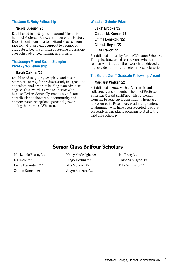#### <span id="page-10-0"></span>**The Jane E. Ruby Fellowship**

#### **Nicole Lussier '20**

Established in 1978 by alumnae and friends in honor of Professor Ruby, a member of the History Department from 1954 to 1976 and Provost from 1976 to 1978. It provides support to a senior or graduate to begin, continue or resume professional or other advanced training in any field.

#### **The Joseph M. and Susan Stampler Paresky '68 Fellowship**

#### **Sarah Calkins '22**

Established in 1986 by Joseph M. and Susan Stampler Paresky for graduate study in a graduate or professional program leading to an advanced degree. This award is given to a senior who has excelled academically, made a significant contribution to the campus community and demonstrated exceptional personal growth during their time at Wheaton.

#### **Wheaton Scholar Prize**

**Leigh Brooks '22 Caiden M. Kumar '22 Emma Lenskold '22 Clara J. Reyes '22 Eliza Trevor '22**

Established in 1987 by former Wheaton Scholars. This prize is awarded to a current Wheaton scholar who through their work has achieved the highest ideals for interdisciplinary scholarship

#### **The Gerald Zuriff Graduate Fellowship Award**

#### **Margaret Walker '22**

Established in 2007 with gifts from friends, colleagues, and students in honor of Professor Emeritus Gerald Zuriff upon his retirement from the Psychology Department. The award is presented to Psychology graduating seniors or alumnae/i who have been accepted to or are currently in a graduate program related to the field of Psychology.

# **Senior Class Balfour Scholars**

Mackenzie Blaney '22 Liz Eaton '22 Kellia Karambizi '22 Caiden Kumar '22

Haley McCreight '22 Diego Medina '22 Mia Murrau '22 Jadyn Ruzzano '22

Ian Tracy '22 Chloe Van Dyne '22 Ellie Williams '22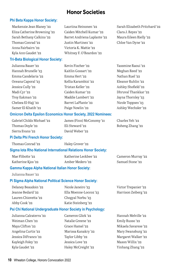# **Honor Societies**

#### <span id="page-11-0"></span>**Phi Beta Kappa Honor Society:**

| Mackenzie Jean Blaney '22    |
|------------------------------|
| Eliza Catherine Browning '22 |
| Sarah Bethany Calkins'22     |
| Thomas Conrad '22            |
| Anna Fairbairn '22           |
| Kyla Ann Gaudet '22          |

| Lauriina Heinonen '22        |
|------------------------------|
| Caiden Mitchell Kumar '22    |
| Barret Andriena Laplante '22 |
| Justin Martinez '22          |
| Victoria K. Mattie '22       |
| Whitney F. O'Reardon '22     |
|                              |

Sarah Elizabeth Pritchard '22 Clara J. Reyes '22 Maura Eileen Rielly '22 Chloe Van Dyne '22

#### **Tri-Beta Biological Honor Society:**

| Julianna Bauer '22  | Kevin Fischer '22    | Yassmine Raoui '22   |
|---------------------|----------------------|----------------------|
| Hannah Brunelle '23 | Kaitlin Gossart '22  | Meghan Reed '22      |
| Emma Candelaria '22 | Emma Hert '22        | Nathan Ruel '22      |
| Oceana Caporal '23  | Kellia Karambizi '22 | Eleanor Ruhlin '22   |
| Jessica Cully '22   | Tristan Keller '22   | Ashley Shofield '22  |
| Madi Cyr '22        | Caiden Kumar '22     | Dhruval Thankkar '22 |
| Trov Eakman '22     | Maddie Lambert '22   | Jayna Thornley '23   |
| Chelsea El-Hajj '22 | Barret LaPlante'22   | Nicole Toppses '23   |
| Samer El-Khatib '22 | Paige Nowlin '22     | Ashley Wechsler '22  |
|                     |                      |                      |

#### **Omicron Delta Epsilon Economics Honor Society, 2022 Nominees:**

| Gabriel Childs Michael '22 | James (Finn) McConomy '21 |
|----------------------------|---------------------------|
| Thomas Doyle '22           | Eli Steward '22           |
| Sierra Evans '22           | David Weber '22           |

#### **Pi Delta Phi French Honor Society:**

Thomas Conrad '22 Haley Grover '22

#### **Sigma Iota Rho National International Relations Honor Society:**

| Mae Flibotte '22   | Katherine Leckbee '22 | Cameron Murray '22 |
|--------------------|-----------------------|--------------------|
| Katherine Kjos '22 | Amber Medero '22      | Samuel Stone '22   |

#### **Gamma Kappa Alpha National Italian Honor Society:**

Julianna Bauer '22

#### **Pi Sigma Alpha National Political Science Honor Society:**

| Delaney Beaudoin '22 | Nicole Janeiro '23     | Victor Trepanier '22 |
|----------------------|------------------------|----------------------|
| Jeanne Bedard '22    | Ella Moenne-Loccoz '23 | Harrison Zeiberg '22 |
| Lauren Chiovetta '22 | Chogyal Norbu '23      |                      |
| Abby Cook '22        | Katie Steinberg '22    |                      |

#### **Psi Chi National Undergraduate Honor Society in Psychology:**

Julianna Calcaterra '22 Weiman Chen '22 Maya Clifton '22 Angelina Curtis '22 Jessica DiFranco '22 Kayleigh Foley '22 Kyla Gaudet '22

Cameron Glick '22 Natalie Greene '22 Grace Hamel '22 Marissa Kanakry '22 Taylor Libby '22 Jessica Love '22 Haley McCreight '22

Hannah Melville '22 Emily Russo '22 Mikaela Savarese '22 Mary Swansburg '22 Margaret Walker '22 Mason Willix '22 Yinhang Zhang '22

Charles Yeh '22 Boheng Zhang '22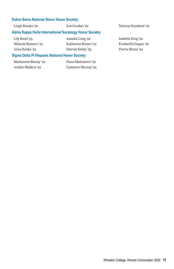#### <span id="page-12-0"></span>**Dobro Solvo National Slavic Honor Society:**

#### **Alpha Kappa Delta International Sociology Honor Society:**

Lily Bond '23 Melanie Romero '22 Alice Riiska '22

Asaada Craig '22 Katherine Brown '22 Patrick Kelley '23

#### **Sigma Delta Pi Hispanic National Honor Society:**

Mackenzie Blaney '22 Amber Medero '22

Hana Memisevic '22 Cameron Murray '22

Leigh Brooks '22 Zoe Grodan '22 Tatiana Staszkow '22

Isabelle King '22 Kimberlie Dugan '22 Pierre Morse '22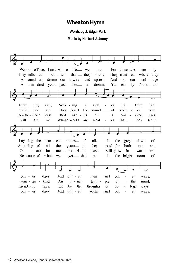## **Wheaton Hymn**

**Words by J. Edgar Park**

**Music by Herbert J. Jenny**

<span id="page-13-0"></span>